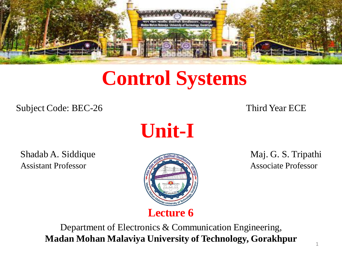

# **Control Systems**

Subject Code: BEC-26 Third Year ECE

**Unit-I**

Shadab A. Siddique **Maj. G. S. Tripathi** Assistant Professor **Associate Professor** Associate Professor



Department of Electronics & Communication Engineering, **Madan Mohan Malaviya University of Technology, Gorakhpur**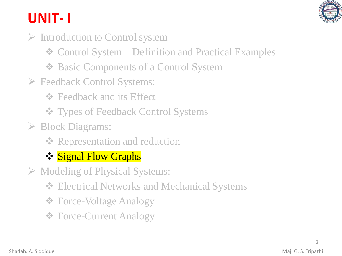

## **UNIT- I**

- ➢ Introduction to Control system
	- ❖ Control System Definition and Practical Examples
	- ❖ Basic Components of a Control System
- ➢ Feedback Control Systems:
	- **❖** Feedback and its Effect
	- ❖ Types of Feedback Control Systems
- ➢ Block Diagrams:
	- **❖ Representation and reduction**
	- ❖ Signal Flow Graphs
- ➢ Modeling of Physical Systems:
	- ❖ Electrical Networks and Mechanical Systems
	- ❖ Force-Voltage Analogy
	- ❖ Force-Current Analogy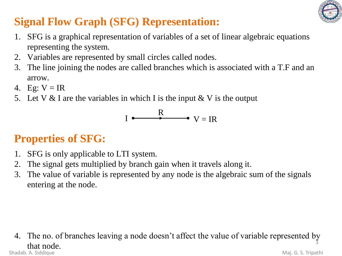

## **Signal Flow Graph (SFG) Representation:**

- 1. SFG is a graphical representation of variables of a set of linear algebraic equations representing the system.
- 2. Variables are represented by small circles called nodes.
- 3. The line joining the nodes are called branches which is associated with a T.F and an arrow.
- 4. Eg:  $V = IR$
- 5. Let V & I are the variables in which I is the input  $&$  V is the output

$$
I \xrightarrow{\mathbf{R}} V = \mathbf{IR}
$$

## **Properties of SFG:**

- 1. SFG is only applicable to LTI system.
- 2. The signal gets multiplied by branch gain when it travels along it.
- 3. The value of variable is represented by any node is the algebraic sum of the signals entering at the node.

#### 4. The no. of branches leaving a node doesn't affect the value of variable represented by  $\frac{3}{3}$  that node. Shadab. A. Siddique **Maj. G. S. Tripathi**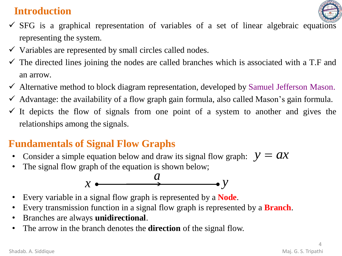### **Introduction**



- $\checkmark$  SFG is a graphical representation of variables of a set of linear algebraic equations representing the system.
- $\checkmark$  Variables are represented by small circles called nodes.
- $\checkmark$  The directed lines joining the nodes are called branches which is associated with a T.F and an arrow.
- ✓ Alternative method to block diagram representation, developed by Samuel Jefferson Mason.
- $\checkmark$  Advantage: the availability of a flow graph gain formula, also called Mason's gain formula.
- $\checkmark$  It depicts the flow of signals from one point of a system to another and gives the relationships among the signals.

### **Fundamentals of Signal Flow Graphs**

- Consider a simple equation below and draw its signal flow graph:  $y = ax$
- The signal flow graph of the equation is shown below;



- Every variable in a signal flow graph is represented by a **Node**.
- Every transmission function in a signal flow graph is represented by a **Branch**.
- Branches are always **unidirectional**.
- The arrow in the branch denotes the **direction** of the signal flow.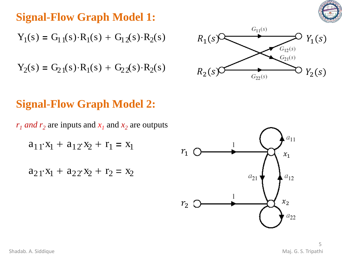

## **Signal-Flow Graph Model 1:**

 $Y_1(s) = G_{11}(s) \cdot R_1(s) + G_{12}(s) \cdot R_2(s)$ 

$$
Y_2(s) = G_{21}(s) \cdot R_1(s) + G_{22}(s) \cdot R_2(s)
$$



## **Signal-Flow Graph Model 2:**

 $r_1$  *and*  $r_2$  are inputs and  $x_1$  and  $x_2$  are outputs

$$
a_{11}x_1 + a_{12}x_2 + r_1 = x_1
$$

 $a_{21}x_1 + a_{22}x_2 + r_2 = x_2$ 

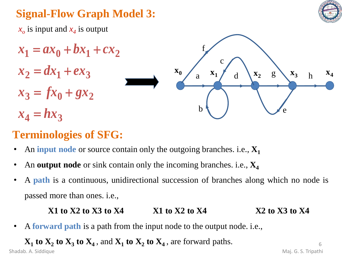

## **Signal-Flow Graph Model 3:**

*xo* is input and *x<sup>4</sup>* is output



## **Terminologies of SFG:**

- An **input node** or source contain only the outgoing branches. i.e., **X<sup>1</sup>**
- An **output node** or sink contain only the incoming branches. i.e., **X<sup>4</sup>**
- A **path** is a continuous, unidirectional succession of branches along which no node is passed more than ones. i.e.,

#### **X1 to X2 to X3 to X4 X1 to X2 to X4 X2 to X3 to X4**

• A **forward path** is a path from the input node to the output node. i.e.,

 $\mathbf{X}_1$  **to**  $\mathbf{X}_2$  **to**  $\mathbf{X}_3$  **to**  $\mathbf{X}_4$ , and  $\mathbf{X}_1$  **to**  $\mathbf{X}_2$  **to**  $\mathbf{X}_4$ , are forward paths. Shadab. A. Siddique Maj. G. S. Tripathi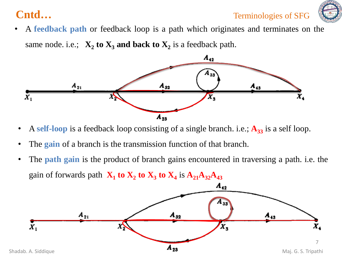

• A **feedback path** or feedback loop is a path which originates and terminates on the same node. i.e.;  $X_2$  **to**  $X_3$  and back to  $X_2$  is a feedback path.



- A self-loop is a feedback loop consisting of a single branch. i.e.;  $A_{33}$  is a self loop.
- The **gain** of a branch is the transmission function of that branch.
- The **path gain** is the product of branch gains encountered in traversing a path. i.e. the gain of forwards path  $X_1$  to  $X_2$  to  $X_3$  to  $X_4$  is  $A_{21}A_{32}A_{43}$

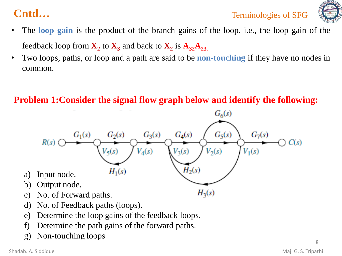

- The **loop gain** is the product of the branch gains of the loop. i.e., the loop gain of the feedback loop from  $\mathbf{X}_2$  to  $\mathbf{X}_3$  and back to  $\mathbf{X}_2$  is  $\mathbf{A}_{32}\mathbf{A}_{23}$ .
- Two loops, paths, or loop and a path are said to be **non-touching** if they have no nodes in common.

#### **Problem 1:Consider the signal flow graph below and identify the following:**



g) Non-touching loops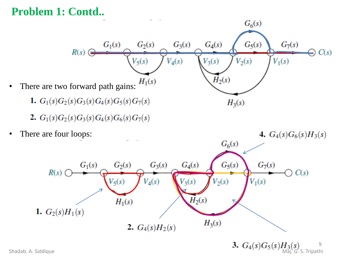#### **Problem 1: Contd..**



Shadab. A. Siddique **Maj. G. S. Tripathi** 

9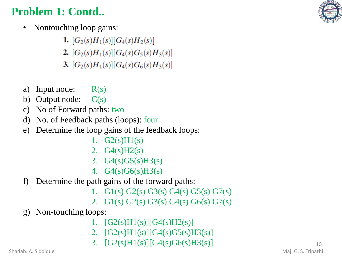## **Problem 1: Contd..**

- Nontouching loop gains:
	- 1.  $[G_2(s)H_1(s)][G_4(s)H_2(s)]$
	- 2.  $[G_2(s)H_1(s)][G_4(s)G_5(s)H_3(s)]$
	- 3.  $[G_2(s)H_1(s)][G_4(s)G_6(s)H_3(s)]$
- a) Input node:  $R(s)$
- b) Output node:  $C(s)$
- c) No of Forward paths: two
- d) No. of Feedback paths (loops): four
- e) Determine the loop gains of the feedback loops:
	- 1.  $G2(s)H1(s)$
	- 2.  $G4(s)H2(s)$
	- 3.  $G4(s)G5(s)H3(s)$
	- 4. G4(s)G6(s)H3(s)
- f) Determine the path gains of the forward paths:
	- 1. G1(s) G2(s) G3(s) G4(s) G5(s) G7(s)
	- 2. G1(s) G2(s) G3(s) G4(s) G6(s) G7(s)
- g) Non-touching loops:
	- 1.  $[G2(s)H1(s)][G4(s)H2(s)]$
	- 2.  $[G2(s)H1(s)][G4(s)G5(s)H3(s)]$
	- 3.  $[G2(s)H1(s)][G4(s)G6(s)H3(s)]$

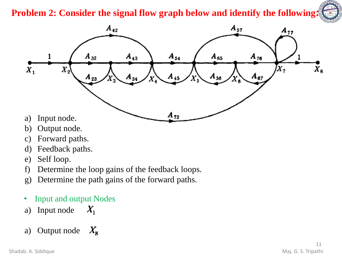#### **Problem 2: Consider the signal flow graph below and identify the following:**



- b) Output node.
- c) Forward paths.
- d) Feedback paths.
- e) Self loop.
- f) Determine the loop gains of the feedback loops.
- g) Determine the path gains of the forward paths.
- Input and output Nodes
- a) Input node  $X_{1}$

#### a) Output node  $X_{\rm g}$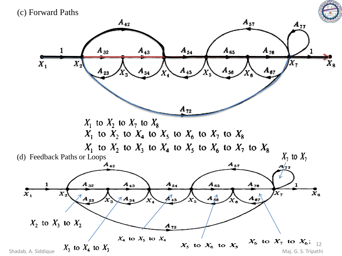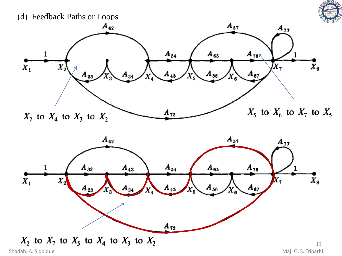



 $X_2$  to  $X_7$  to  $X_5$  to  $X_4$  to  $X_3$  to  $X_2$